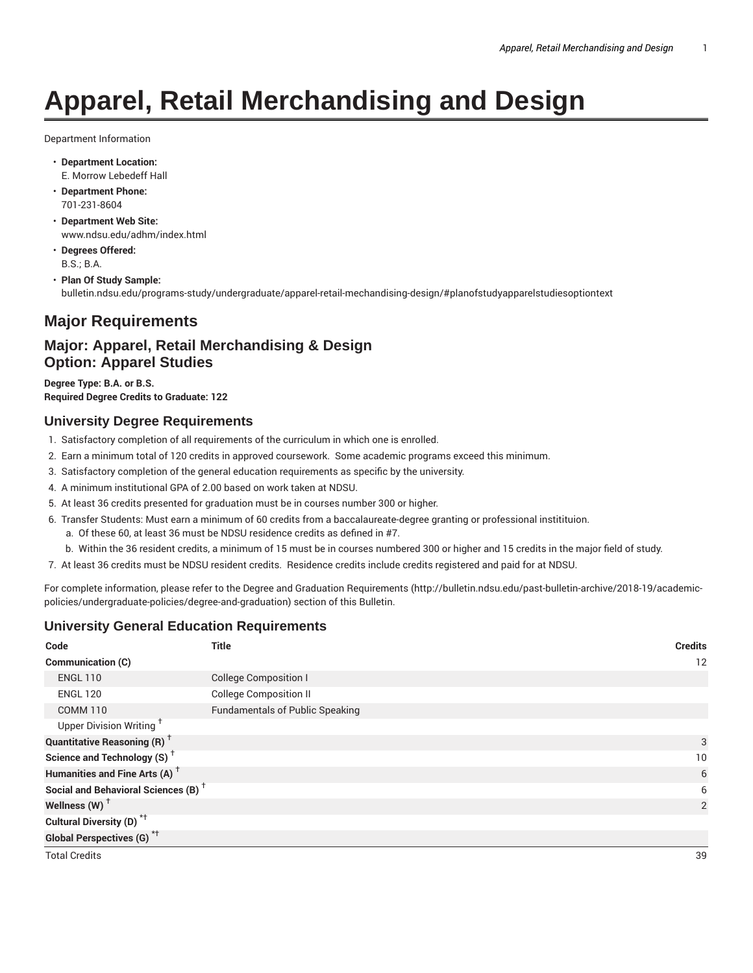# **Apparel, Retail Merchandising and Design**

Department Information

- **Department Location:** E. Morrow Lebedeff Hall
- **Department Phone:** 701-231-8604
- **Department Web Site:** www.ndsu.edu/adhm/index.html
- **Degrees Offered:** B.S.; B.A.

• **Plan Of Study Sample:** bulletin.ndsu.edu/programs-study/undergraduate/apparel-retail-mechandising-design/#planofstudyapparelstudiesoptiontext

# **Major Requirements**

# **Major: Apparel, Retail Merchandising & Design Option: Apparel Studies**

**Degree Type: B.A. or B.S. Required Degree Credits to Graduate: 122**

## **University Degree Requirements**

- 1. Satisfactory completion of all requirements of the curriculum in which one is enrolled.
- 2. Earn a minimum total of 120 credits in approved coursework. Some academic programs exceed this minimum.
- 3. Satisfactory completion of the general education requirements as specific by the university.
- 4. A minimum institutional GPA of 2.00 based on work taken at NDSU.
- 5. At least 36 credits presented for graduation must be in courses number 300 or higher.
- 6. Transfer Students: Must earn a minimum of 60 credits from a baccalaureate-degree granting or professional institituion.
	- a. Of these 60, at least 36 must be NDSU residence credits as defined in #7.
	- b. Within the 36 resident credits, a minimum of 15 must be in courses numbered 300 or higher and 15 credits in the major field of study.
- 7. At least 36 credits must be NDSU resident credits. Residence credits include credits registered and paid for at NDSU.

For complete information, please refer to the Degree and Graduation Requirements (http://bulletin.ndsu.edu/past-bulletin-archive/2018-19/academicpolicies/undergraduate-policies/degree-and-graduation) section of this Bulletin.

## **University General Education Requirements**

| Code                                            | <b>Title</b>                           | <b>Credits</b> |
|-------------------------------------------------|----------------------------------------|----------------|
| Communication (C)                               |                                        | 12             |
| <b>ENGL 110</b>                                 | <b>College Composition I</b>           |                |
| <b>ENGL 120</b>                                 | <b>College Composition II</b>          |                |
| <b>COMM 110</b>                                 | <b>Fundamentals of Public Speaking</b> |                |
| Upper Division Writing <sup>+</sup>             |                                        |                |
| <b>Quantitative Reasoning (R)</b> <sup>†</sup>  |                                        | 3              |
| Science and Technology (S) <sup>+</sup>         |                                        | 10             |
| Humanities and Fine Arts (A) <sup>+</sup>       |                                        | 6              |
| Social and Behavioral Sciences (B) <sup>+</sup> |                                        | 6              |
| Wellness (W) $^{\dagger}$                       |                                        | 2              |
| Cultural Diversity (D) <sup>*†</sup>            |                                        |                |
| <b>Global Perspectives (G)</b> <sup>*†</sup>    |                                        |                |
| <b>Total Credits</b>                            |                                        | 39             |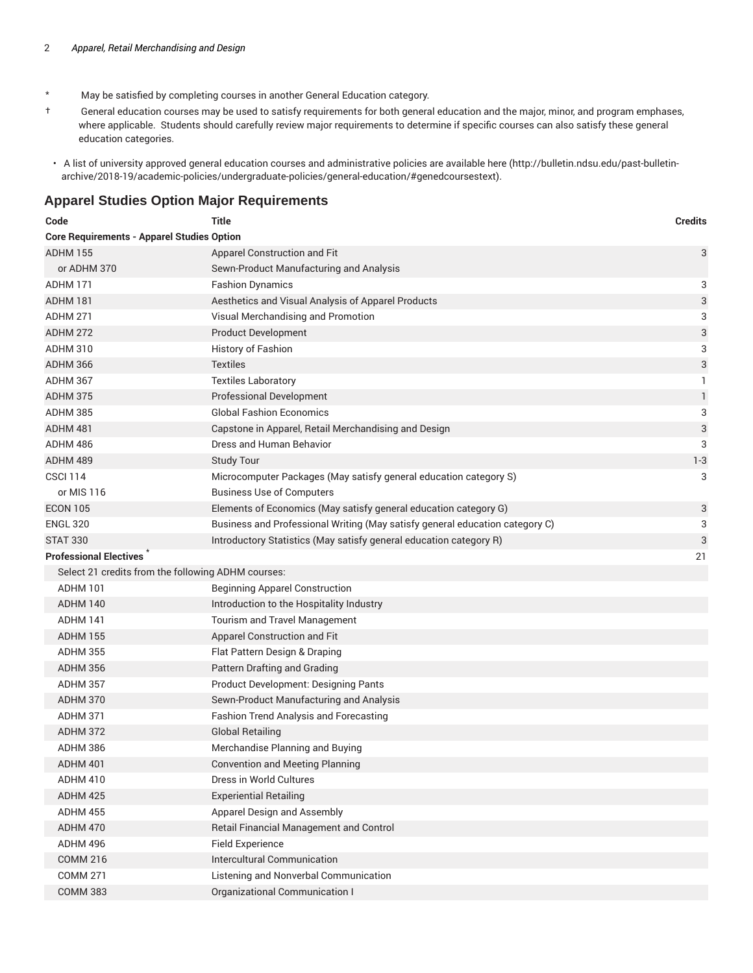- \* May be satisfied by completing courses in another General Education category.
- † General education courses may be used to satisfy requirements for both general education and the major, minor, and program emphases, where applicable. Students should carefully review major requirements to determine if specific courses can also satisfy these general education categories.
- A list of university approved general education courses and administrative policies are available here (http://bulletin.ndsu.edu/past-bulletinarchive/2018-19/academic-policies/undergraduate-policies/general-education/#genedcoursestext).

#### **Apparel Studies Option Major Requirements**

| Code                                               | <b>Title</b>                                                                 | <b>Credits</b> |
|----------------------------------------------------|------------------------------------------------------------------------------|----------------|
| <b>Core Requirements - Apparel Studies Option</b>  |                                                                              |                |
| <b>ADHM 155</b>                                    | Apparel Construction and Fit                                                 | 3              |
| or ADHM 370                                        | Sewn-Product Manufacturing and Analysis                                      |                |
| ADHM 171                                           | <b>Fashion Dynamics</b>                                                      | 3              |
| ADHM 181                                           | Aesthetics and Visual Analysis of Apparel Products                           | 3              |
| ADHM 271                                           | Visual Merchandising and Promotion                                           | 3              |
| <b>ADHM 272</b>                                    | <b>Product Development</b>                                                   | 3              |
| <b>ADHM 310</b>                                    | History of Fashion                                                           | 3              |
| ADHM 366                                           | <b>Textiles</b>                                                              | 3              |
| ADHM 367                                           | <b>Textiles Laboratory</b>                                                   | 1              |
| ADHM 375                                           | <b>Professional Development</b>                                              | 1              |
| ADHM 385                                           | <b>Global Fashion Economics</b>                                              | 3              |
| ADHM 481                                           | Capstone in Apparel, Retail Merchandising and Design                         | 3              |
| ADHM 486                                           | Dress and Human Behavior                                                     | 3              |
| ADHM 489                                           | <b>Study Tour</b>                                                            | $1 - 3$        |
| <b>CSCI 114</b>                                    | Microcomputer Packages (May satisfy general education category S)            | 3              |
| or MIS 116                                         | <b>Business Use of Computers</b>                                             |                |
| <b>ECON 105</b>                                    | Elements of Economics (May satisfy general education category G)             | 3              |
| <b>ENGL 320</b>                                    | Business and Professional Writing (May satisfy general education category C) | 3              |
| <b>STAT 330</b>                                    | Introductory Statistics (May satisfy general education category R)           | 3              |
| <b>Professional Electives</b>                      |                                                                              | 21             |
| Select 21 credits from the following ADHM courses: |                                                                              |                |
| <b>ADHM 101</b>                                    | <b>Beginning Apparel Construction</b>                                        |                |
| ADHM 140                                           | Introduction to the Hospitality Industry                                     |                |
| ADHM 141                                           | Tourism and Travel Management                                                |                |
| <b>ADHM 155</b>                                    | Apparel Construction and Fit                                                 |                |
| <b>ADHM 355</b>                                    | Flat Pattern Design & Draping                                                |                |
| <b>ADHM 356</b>                                    | Pattern Drafting and Grading                                                 |                |
| ADHM 357                                           | <b>Product Development: Designing Pants</b>                                  |                |
| ADHM 370                                           | Sewn-Product Manufacturing and Analysis                                      |                |
| <b>ADHM 371</b>                                    | Fashion Trend Analysis and Forecasting                                       |                |
| ADHM 372                                           | <b>Global Retailing</b>                                                      |                |
| ADHM 386                                           | Merchandise Planning and Buying                                              |                |
| ADHM 401                                           | <b>Convention and Meeting Planning</b>                                       |                |
| ADHM 410                                           | Dress in World Cultures                                                      |                |
| ADHM 425                                           | <b>Experiential Retailing</b>                                                |                |
| ADHM 455                                           | Apparel Design and Assembly                                                  |                |
| ADHM 470                                           | Retail Financial Management and Control                                      |                |
| ADHM 496                                           | <b>Field Experience</b>                                                      |                |
| <b>COMM 216</b>                                    | Intercultural Communication                                                  |                |
| <b>COMM 271</b>                                    | Listening and Nonverbal Communication                                        |                |
| <b>COMM 383</b>                                    | Organizational Communication I                                               |                |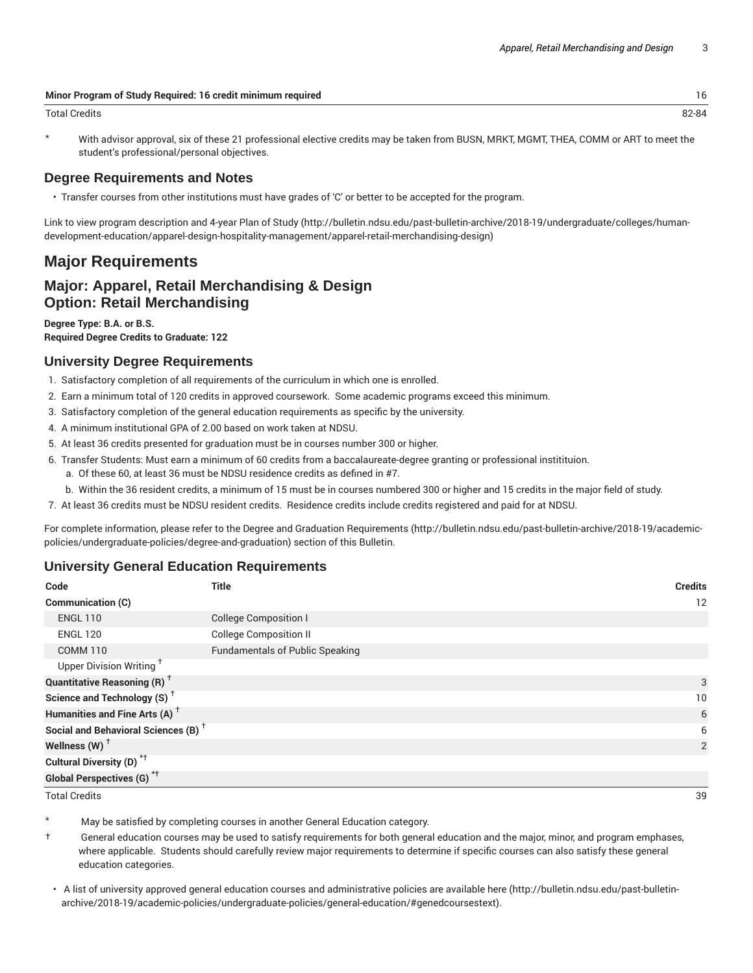| Minor Program of Study Required: 16 credit minimum required |       |
|-------------------------------------------------------------|-------|
| Total Credits                                               | 82-84 |

With advisor approval, six of these 21 professional elective credits may be taken from BUSN, MRKT, MGMT, THEA, COMM or ART to meet the student's professional/personal objectives.

#### **Degree Requirements and Notes**

• Transfer courses from other institutions must have grades of 'C' or better to be accepted for the program.

Link to view program description and 4-year Plan of Study (http://bulletin.ndsu.edu/past-bulletin-archive/2018-19/undergraduate/colleges/humandevelopment-education/apparel-design-hospitality-management/apparel-retail-merchandising-design)

# **Major Requirements**

## **Major: Apparel, Retail Merchandising & Design Option: Retail Merchandising**

**Degree Type: B.A. or B.S. Required Degree Credits to Graduate: 122**

#### **University Degree Requirements**

- 1. Satisfactory completion of all requirements of the curriculum in which one is enrolled.
- 2. Earn a minimum total of 120 credits in approved coursework. Some academic programs exceed this minimum.
- 3. Satisfactory completion of the general education requirements as specific by the university.
- 4. A minimum institutional GPA of 2.00 based on work taken at NDSU.
- 5. At least 36 credits presented for graduation must be in courses number 300 or higher.
- 6. Transfer Students: Must earn a minimum of 60 credits from a baccalaureate-degree granting or professional institituion.
	- a. Of these 60, at least 36 must be NDSU residence credits as defined in #7.
	- b. Within the 36 resident credits, a minimum of 15 must be in courses numbered 300 or higher and 15 credits in the major field of study.
- 7. At least 36 credits must be NDSU resident credits. Residence credits include credits registered and paid for at NDSU.

For complete information, please refer to the Degree and Graduation Requirements (http://bulletin.ndsu.edu/past-bulletin-archive/2018-19/academicpolicies/undergraduate-policies/degree-and-graduation) section of this Bulletin.

#### **University General Education Requirements**

| Code                                            | Title                                  | <b>Credits</b> |
|-------------------------------------------------|----------------------------------------|----------------|
| <b>Communication (C)</b>                        |                                        | 12             |
| <b>ENGL 110</b>                                 | <b>College Composition I</b>           |                |
| <b>ENGL 120</b>                                 | <b>College Composition II</b>          |                |
| <b>COMM 110</b>                                 | <b>Fundamentals of Public Speaking</b> |                |
| Upper Division Writing <sup>+</sup>             |                                        |                |
| <b>Quantitative Reasoning (R)</b> <sup>†</sup>  |                                        | 3              |
| Science and Technology (S) <sup>+</sup>         |                                        | 10             |
| Humanities and Fine Arts (A) <sup>+</sup>       |                                        | 6              |
| Social and Behavioral Sciences (B) <sup>+</sup> |                                        | 6              |
| Wellness (W) $†$                                |                                        | $\overline{2}$ |
| Cultural Diversity (D) <sup>*†</sup>            |                                        |                |
| <b>Global Perspectives (G)</b> <sup>*†</sup>    |                                        |                |

Total Credits 39

May be satisfied by completing courses in another General Education category.

- † General education courses may be used to satisfy requirements for both general education and the major, minor, and program emphases, where applicable. Students should carefully review major requirements to determine if specific courses can also satisfy these general education categories.
- A list of university approved general education courses and administrative policies are available here (http://bulletin.ndsu.edu/past-bulletinarchive/2018-19/academic-policies/undergraduate-policies/general-education/#genedcoursestext).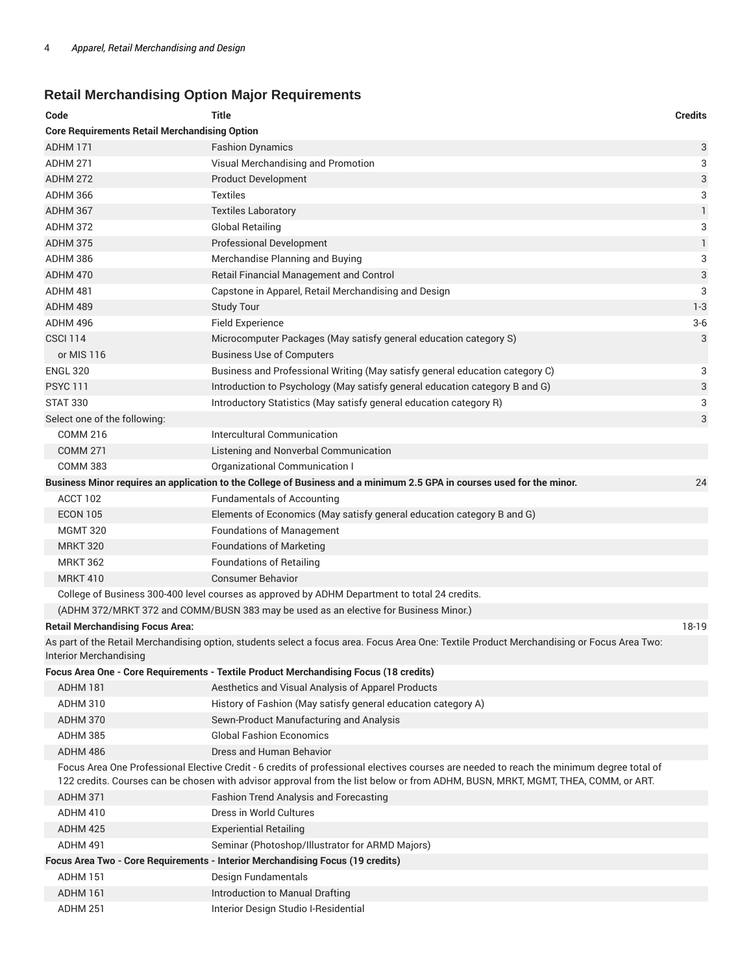# **Retail Merchandising Option Major Requirements**

| Code                                                 | <b>Title</b>                                                                                                                                                                                                                                                                  | <b>Credits</b> |
|------------------------------------------------------|-------------------------------------------------------------------------------------------------------------------------------------------------------------------------------------------------------------------------------------------------------------------------------|----------------|
| <b>Core Requirements Retail Merchandising Option</b> |                                                                                                                                                                                                                                                                               |                |
| ADHM 171                                             | <b>Fashion Dynamics</b>                                                                                                                                                                                                                                                       | 3              |
| ADHM 271                                             | Visual Merchandising and Promotion                                                                                                                                                                                                                                            | 3              |
| <b>ADHM 272</b>                                      | <b>Product Development</b>                                                                                                                                                                                                                                                    | 3              |
| ADHM 366                                             | <b>Textiles</b>                                                                                                                                                                                                                                                               | 3              |
| ADHM 367                                             | <b>Textiles Laboratory</b>                                                                                                                                                                                                                                                    | $\mathbf{1}$   |
| <b>ADHM 372</b>                                      | <b>Global Retailing</b>                                                                                                                                                                                                                                                       | 3              |
| ADHM 375                                             | <b>Professional Development</b>                                                                                                                                                                                                                                               | $\mathbf{1}$   |
| ADHM 386                                             | Merchandise Planning and Buying                                                                                                                                                                                                                                               | 3              |
| ADHM 470                                             | Retail Financial Management and Control                                                                                                                                                                                                                                       | 3              |
| ADHM 481                                             | Capstone in Apparel, Retail Merchandising and Design                                                                                                                                                                                                                          | 3              |
| ADHM 489                                             | <b>Study Tour</b>                                                                                                                                                                                                                                                             | $1 - 3$        |
| ADHM 496                                             | <b>Field Experience</b>                                                                                                                                                                                                                                                       | $3-6$          |
| <b>CSCI 114</b>                                      | Microcomputer Packages (May satisfy general education category S)                                                                                                                                                                                                             | 3              |
| or MIS 116                                           | <b>Business Use of Computers</b>                                                                                                                                                                                                                                              |                |
| <b>ENGL 320</b>                                      | Business and Professional Writing (May satisfy general education category C)                                                                                                                                                                                                  | 3              |
| <b>PSYC 111</b>                                      | Introduction to Psychology (May satisfy general education category B and G)                                                                                                                                                                                                   | 3              |
| <b>STAT 330</b>                                      | Introductory Statistics (May satisfy general education category R)                                                                                                                                                                                                            | 3              |
| Select one of the following:                         |                                                                                                                                                                                                                                                                               | 3              |
| <b>COMM 216</b>                                      | Intercultural Communication                                                                                                                                                                                                                                                   |                |
| <b>COMM 271</b>                                      | Listening and Nonverbal Communication                                                                                                                                                                                                                                         |                |
| <b>COMM 383</b>                                      | Organizational Communication I                                                                                                                                                                                                                                                |                |
|                                                      | Business Minor requires an application to the College of Business and a minimum 2.5 GPA in courses used for the minor.                                                                                                                                                        | 24             |
| ACCT 102                                             | <b>Fundamentals of Accounting</b>                                                                                                                                                                                                                                             |                |
| <b>ECON 105</b>                                      | Elements of Economics (May satisfy general education category B and G)                                                                                                                                                                                                        |                |
| <b>MGMT 320</b>                                      | <b>Foundations of Management</b>                                                                                                                                                                                                                                              |                |
| <b>MRKT 320</b>                                      | <b>Foundations of Marketing</b>                                                                                                                                                                                                                                               |                |
| <b>MRKT 362</b>                                      | <b>Foundations of Retailing</b>                                                                                                                                                                                                                                               |                |
| <b>MRKT 410</b>                                      | <b>Consumer Behavior</b>                                                                                                                                                                                                                                                      |                |
|                                                      | College of Business 300-400 level courses as approved by ADHM Department to total 24 credits.                                                                                                                                                                                 |                |
|                                                      | (ADHM 372/MRKT 372 and COMM/BUSN 383 may be used as an elective for Business Minor.)                                                                                                                                                                                          |                |
| <b>Retail Merchandising Focus Area:</b>              |                                                                                                                                                                                                                                                                               | 18-19          |
| <b>Interior Merchandising</b>                        | As part of the Retail Merchandising option, students select a focus area. Focus Area One: Textile Product Merchandising or Focus Area Two:                                                                                                                                    |                |
|                                                      | Focus Area One - Core Requirements - Textile Product Merchandising Focus (18 credits)                                                                                                                                                                                         |                |
| ADHM 181                                             | Aesthetics and Visual Analysis of Apparel Products                                                                                                                                                                                                                            |                |
| ADHM 310                                             | History of Fashion (May satisfy general education category A)                                                                                                                                                                                                                 |                |
| ADHM 370                                             | Sewn-Product Manufacturing and Analysis                                                                                                                                                                                                                                       |                |
| ADHM 385                                             | <b>Global Fashion Economics</b>                                                                                                                                                                                                                                               |                |
| ADHM 486                                             | Dress and Human Behavior                                                                                                                                                                                                                                                      |                |
|                                                      | Focus Area One Professional Elective Credit - 6 credits of professional electives courses are needed to reach the minimum degree total of<br>122 credits. Courses can be chosen with advisor approval from the list below or from ADHM, BUSN, MRKT, MGMT, THEA, COMM, or ART. |                |
| ADHM 371                                             | <b>Fashion Trend Analysis and Forecasting</b>                                                                                                                                                                                                                                 |                |
| ADHM 410                                             | Dress in World Cultures                                                                                                                                                                                                                                                       |                |
| ADHM 425                                             | <b>Experiential Retailing</b>                                                                                                                                                                                                                                                 |                |
| ADHM 491                                             | Seminar (Photoshop/Illustrator for ARMD Majors)                                                                                                                                                                                                                               |                |
|                                                      | Focus Area Two - Core Requirements - Interior Merchandising Focus (19 credits)                                                                                                                                                                                                |                |
| ADHM 151                                             | Design Fundamentals                                                                                                                                                                                                                                                           |                |
| ADHM 161                                             | Introduction to Manual Drafting                                                                                                                                                                                                                                               |                |
| ADHM 251                                             | Interior Design Studio I-Residential                                                                                                                                                                                                                                          |                |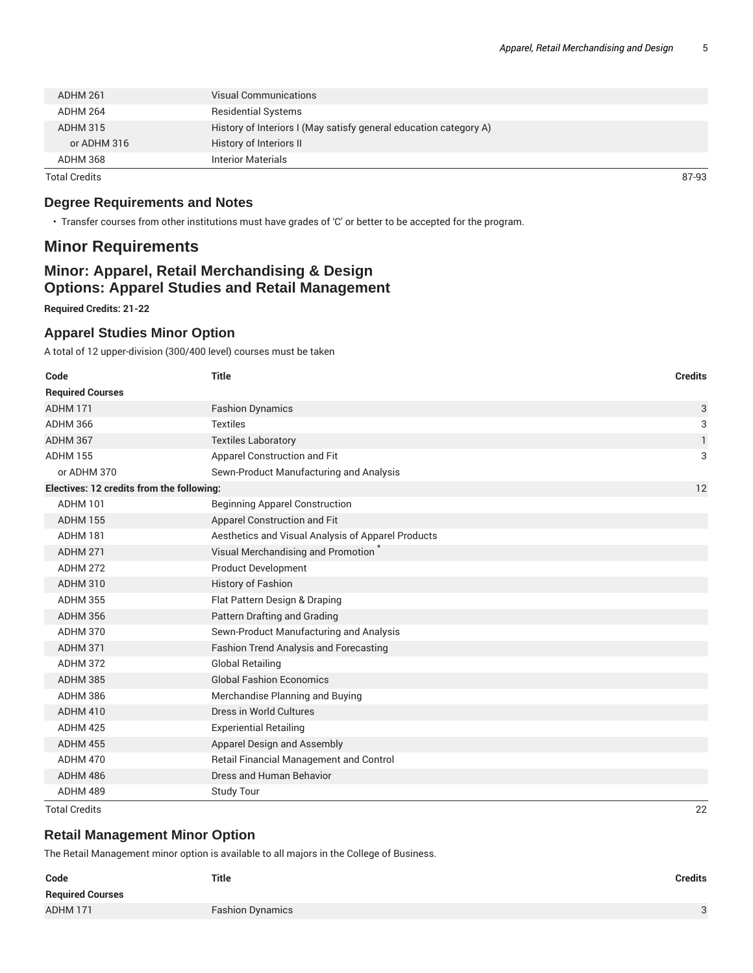| Total Credits   |                                                                   | 87-93 |
|-----------------|-------------------------------------------------------------------|-------|
| ADHM 368        | <b>Interior Materials</b>                                         |       |
| or ADHM 316     | History of Interiors II                                           |       |
| <b>ADHM 315</b> | History of Interiors I (May satisfy general education category A) |       |
| ADHM 264        | <b>Residential Systems</b>                                        |       |
| ADHM 261        | Visual Communications                                             |       |
|                 |                                                                   |       |

## **Degree Requirements and Notes**

• Transfer courses from other institutions must have grades of 'C' or better to be accepted for the program.

# **Minor Requirements**

## **Minor: Apparel, Retail Merchandising & Design Options: Apparel Studies and Retail Management**

**Required Credits: 21-22**

### **Apparel Studies Minor Option**

A total of 12 upper-division (300/400 level) courses must be taken

| Code                                      | <b>Title</b>                                       | <b>Credits</b> |
|-------------------------------------------|----------------------------------------------------|----------------|
| <b>Required Courses</b>                   |                                                    |                |
| ADHM 171                                  | <b>Fashion Dynamics</b>                            | 3              |
| <b>ADHM 366</b>                           | <b>Textiles</b>                                    | 3              |
| <b>ADHM 367</b>                           | <b>Textiles Laboratory</b>                         | 1              |
| <b>ADHM 155</b>                           | Apparel Construction and Fit                       | 3              |
| or ADHM 370                               | Sewn-Product Manufacturing and Analysis            |                |
| Electives: 12 credits from the following: |                                                    | 12             |
| <b>ADHM 101</b>                           | <b>Beginning Apparel Construction</b>              |                |
| <b>ADHM 155</b>                           | Apparel Construction and Fit                       |                |
| ADHM 181                                  | Aesthetics and Visual Analysis of Apparel Products |                |
| <b>ADHM 271</b>                           | Visual Merchandising and Promotion                 |                |
| <b>ADHM 272</b>                           | <b>Product Development</b>                         |                |
| <b>ADHM 310</b>                           | <b>History of Fashion</b>                          |                |
| <b>ADHM 355</b>                           | Flat Pattern Design & Draping                      |                |
| <b>ADHM 356</b>                           | Pattern Drafting and Grading                       |                |
| <b>ADHM 370</b>                           | Sewn-Product Manufacturing and Analysis            |                |
| <b>ADHM 371</b>                           | <b>Fashion Trend Analysis and Forecasting</b>      |                |
| ADHM 372                                  | <b>Global Retailing</b>                            |                |
| <b>ADHM 385</b>                           | <b>Global Fashion Economics</b>                    |                |
| <b>ADHM 386</b>                           | Merchandise Planning and Buying                    |                |
| ADHM 410                                  | Dress in World Cultures                            |                |
| <b>ADHM 425</b>                           | <b>Experiential Retailing</b>                      |                |
| <b>ADHM 455</b>                           | Apparel Design and Assembly                        |                |
| <b>ADHM 470</b>                           | Retail Financial Management and Control            |                |
| ADHM 486                                  | Dress and Human Behavior                           |                |
| ADHM 489                                  | <b>Study Tour</b>                                  |                |

Total Credits 22

## **Retail Management Minor Option**

The Retail Management minor option is available to all majors in the College of Business.

| Code                    | <b>Title</b>            | <b>Credits</b> |
|-------------------------|-------------------------|----------------|
| <b>Required Courses</b> |                         |                |
| ADHM 171                | <b>Fashion Dynamics</b> | $\Omega$       |